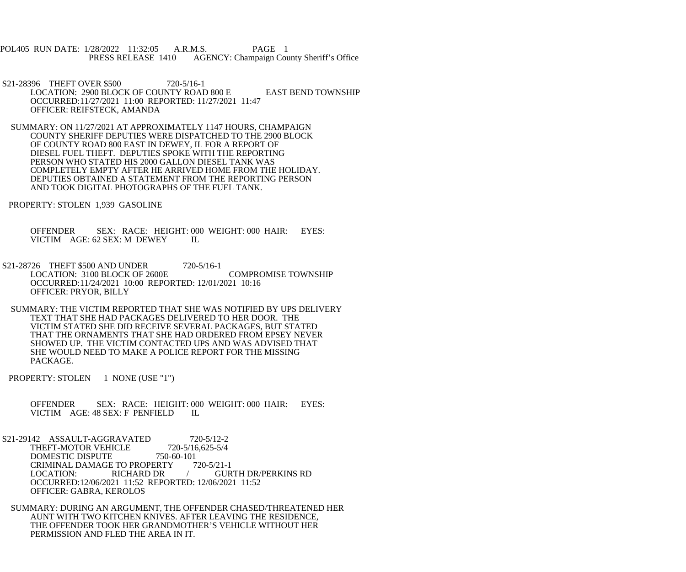- POL405 RUN DATE: 1/28/2022 11:32:05 A.R.M.S. PAGE 1<br>PRESS RELEASE 1410 AGENCY: Champaign Cou AGENCY: Champaign County Sheriff's Office
- S21-28396 THEFT OVER \$500 720-5/16-1 LOCATION: 2900 BLOCK OF COUNTY ROAD 800 E EAST BEND TOWNSHIP OCCURRED:11/27/2021 11:00 REPORTED: 11/27/2021 11:47 OFFICER: REIFSTECK, AMANDA
- SUMMARY: ON 11/27/2021 AT APPROXIMATELY 1147 HOURS, CHAMPAIGN COUNTY SHERIFF DEPUTIES WERE DISPATCHED TO THE 2900 BLOCK OF COUNTY ROAD 800 EAST IN DEWEY, IL FOR A REPORT OF DIESEL FUEL THEFT. DEPUTIES SPOKE WITH THE REPORTING PERSON WHO STATED HIS 2000 GALLON DIESEL TANK WAS COMPLETELY EMPTY AFTER HE ARRIVED HOME FROM THE HOLIDAY. DEPUTIES OBTAINED A STATEMENT FROM THE REPORTING PERSON AND TOOK DIGITAL PHOTOGRAPHS OF THE FUEL TANK.
- PROPERTY: STOLEN 1,939 GASOLINE

 OFFENDER SEX: RACE: HEIGHT: 000 WEIGHT: 000 HAIR: EYES: VICTIM AGE: 62 SEX: M DEWEY IL

- S21-28726 THEFT \$500 AND UNDER 720-5/16-1 LOCATION: 3100 BLOCK OF 2600E COMPROMISE TOWNSHIP OCCURRED:11/24/2021 10:00 REPORTED: 12/01/2021 10:16 OFFICER: PRYOR, BILLY
- SUMMARY: THE VICTIM REPORTED THAT SHE WAS NOTIFIED BY UPS DELIVERY TEXT THAT SHE HAD PACKAGES DELIVERED TO HER DOOR. THE VICTIM STATED SHE DID RECEIVE SEVERAL PACKAGES, BUT STATED THAT THE ORNAMENTS THAT SHE HAD ORDERED FROM EPSEY NEVER SHOWED UP. THE VICTIM CONTACTED UPS AND WAS ADVISED THAT SHE WOULD NEED TO MAKE A POLICE REPORT FOR THE MISSING PACKAGE.
- PROPERTY: STOLEN 1 NONE (USE "1")
	- OFFENDER SEX: RACE: HEIGHT: 000 WEIGHT: 000 HAIR: EYES:<br>VICTIM AGE: 48 SEX: F PENFIELD IL VICTIM AGE: 48 SEX: F PENFIELD
- S21-29142 ASSAULT-AGGRAVATED 720-5/12-2<br>THEFT-MOTOR VEHICLE 720-5/16.625-5/4 THEFT-MOTOR VEHICLE 720-5/16<br>DOMESTIC DISPUTE 750-60-101 DOMESTIC DISPUTE CRIMINAL DAMAGE TO PROPERTY 720-5/21-1<br>LOCATION: RICHARD DR / GUR **GURTH DR/PERKINS RD**  OCCURRED:12/06/2021 11:52 REPORTED: 12/06/2021 11:52 OFFICER: GABRA, KEROLOS
- SUMMARY: DURING AN ARGUMENT, THE OFFENDER CHASED/THREATENED HER AUNT WITH TWO KITCHEN KNIVES. AFTER LEAVING THE RESIDENCE, THE OFFENDER TOOK HER GRANDMOTHER'S VEHICLE WITHOUT HER PERMISSION AND FLED THE AREA IN IT.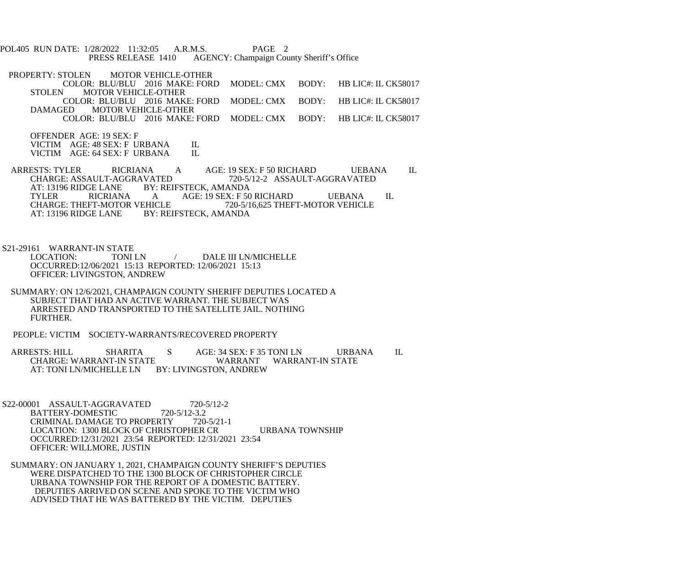POL405 RUN DATE: 1/28/2022 11:32:05 A.R.M.S. PAGE 2<br>PRESS RELEASE 1410 AGENCY: Champaign Cou AGENCY: Champaign County Sheriff's Office

PROPERTY: STOLEN MOTOR VEHICLE-OTHER COLOR: BLU/BLU 2016 MAKE: FORD MODEL: CMX BODY: HB LIC#: IL CK58017<br>STOLEN MOTOR VEHICLE-OTHER MOTOR VEHICLE-OTHER COLOR: BLU/BLU 2016 MAKE: FORD MODEL: CMX BODY: HB LIC#: IL CK58017 DAMAGED MOTOR VEHICLE-OTHER COLOR: BLU/BLU 2016 MAKE: FORD MODEL: CMX BODY: HB LIC#: IL CK58017

 OFFENDER AGE: 19 SEX: F VICTIM AGE: 48 SEX: F URBANA IL<br>VICTIM AGE: 64 SEX: F URBANA IL VICTIM AGE: 64 SEX: F URBANA

ARRESTS: TYLER RICRIANA A AGE: 19 SEX: F 50 RICHARD UEBANA IL<br>CHARGE: ASSAULT-AGGRAVATED 720-5/12-2 ASSAULT-AGGRAVATED CHARGE: ASSAULT-AGGRAVATED 720-5/12-2 ASSAULT-AGGRAVATED<br>AT: 13196 RIDGE LANE BY: REIFSTECK. AMANDA AT: 13196 RIDGE LANE BY: REIFSTECK, AMANDA<br>TYLER RICRIANA A AGE: 19 SEX: F 50 TYLER RICRIANA A AGE: 19 SEX: F 50 RICHARD UEBANA IL<br>CHARGE: THEFT-MOTOR VEHICLE 720-5/16,625 THEFT-MOTOR VEHICLE CHARGE: THEFT-MOTOR VEHICLE 720-5/16,625 THEFT-MOTOR VEHICLE<br>AT: 13196 RIDGE LANE BY: REIFSTECK, AMANDA BY: REIFSTECK, AMANDA

S21-29161 WARRANT-IN STATE<br>LOCATION: TONI

- TONI LN  $/$  DALE III LN/MICHELLE OCCURRED:12/06/2021 15:13 REPORTED: 12/06/2021 15:13 OFFICER: LIVINGSTON, ANDREW
- SUMMARY: ON 12/6/2021, CHAMPAIGN COUNTY SHERIFF DEPUTIES LOCATED A SUBJECT THAT HAD AN ACTIVE WARRANT. THE SUBJECT WAS ARRESTED AND TRANSPORTED TO THE SATELLITE JAIL. NOTHING FURTHER.

PEOPLE: VICTIM SOCIETY-WARRANTS/RECOVERED PROPERTY

- ARRESTS: HILL SHARITA S AGE: 34 SEX: F 35 TONI LN URBANA IL CHARGE: WARRANT-IN STATE WARRANT WARRANT-IN STATE<br>AT: TONI LN/MICHELLE LN BY: LIVINGSTON, ANDREW BY: LIVINGSTON, ANDREW
- S22-00001 ASSAULT-AGGRAVATED 720-5/12-2<br>BATTERY-DOMESTIC 720-5/12-3.2 BATTERY-DOMESTIC 720-5/12-3.2<br>CRIMINAL DAMAGE TO PROPERTY 720-5/21-1 CRIMINAL DAMAGE TO PROPERTY LOCATION: 1300 BLOCK OF CHRISTOPHER CR URBANA TOWNSHIP OCCURRED:12/31/2021 23:54 REPORTED: 12/31/2021 23:54 OFFICER: WILLMORE, JUSTIN
- SUMMARY: ON JANUARY 1, 2021, CHAMPAIGN COUNTY SHERIFF'S DEPUTIES WERE DISPATCHED TO THE 1300 BLOCK OF CHRISTOPHER CIRCLE URBANA TOWNSHIP FOR THE REPORT OF A DOMESTIC BATTERY. DEPUTIES ARRIVED ON SCENE AND SPOKE TO THE VICTIM WHO ADVISED THAT HE WAS BATTERED BY THE VICTIM. DEPUTIES